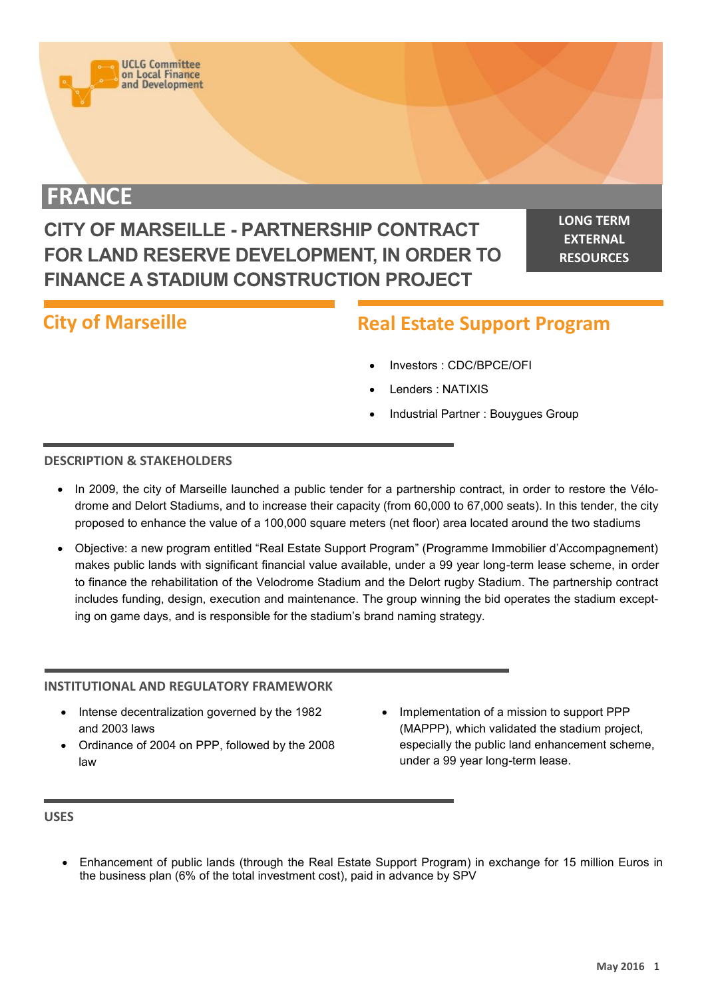

# **FRANCE**

# **CITY OF MARSEILLE - PARTNERSHIP CONTRACT FOR LAND RESERVE DEVELOPMENT, IN ORDER TO FINANCE A STADIUM CONSTRUCTION PROJECT**

**LONG TERM EXTERNAL RESOURCES**

# **City of Marseille**

# **Real Estate Support Program**

- Investors : CDC/BPCE/OFI
- Lenders : NATIXIS
- Industrial Partner : Bouygues Group

## **DESCRIPTION & STAKEHOLDERS**

- In 2009, the city of Marseille launched a public tender for a partnership contract, in order to restore the Vélodrome and Delort Stadiums, and to increase their capacity (from 60,000 to 67,000 seats). In this tender, the city proposed to enhance the value of a 100,000 square meters (net floor) area located around the two stadiums
- Objective: a new program entitled "Real Estate Support Program" (Programme Immobilier d'Accompagnement) makes public lands with significant financial value available, under a 99 year long-term lease scheme, in order to finance the rehabilitation of the Velodrome Stadium and the Delort rugby Stadium. The partnership contract includes funding, design, execution and maintenance. The group winning the bid operates the stadium excepting on game days, and is responsible for the stadium's brand naming strategy.

## **INSTITUTIONAL AND REGULATORY FRAMEWORK**

- Intense decentralization governed by the 1982 and 2003 laws
- Ordinance of 2004 on PPP, followed by the 2008 law
- Implementation of a mission to support PPP (MAPPP), which validated the stadium project, especially the public land enhancement scheme, under a 99 year long-term lease.

#### **USES**

 Enhancement of public lands (through the Real Estate Support Program) in exchange for 15 million Euros in the business plan (6% of the total investment cost), paid in advance by SPV